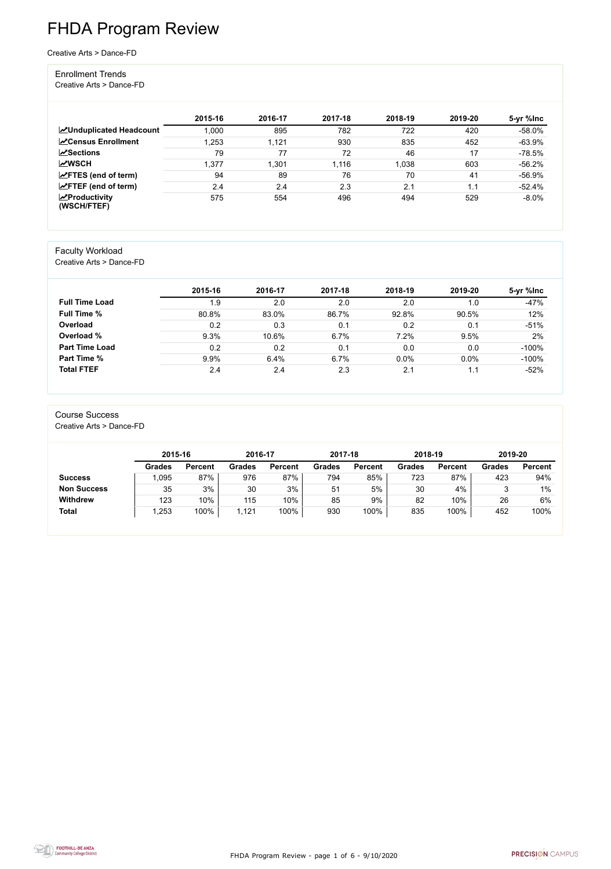FHDA Program Review - page 1 of 6 - 9/10/2020



# FHDA Program Review

Creative Arts > Dance-FD

#### Enrollment Trends

Creative Arts > Dance-FD

|                                                  | 2015-16 | 2016-17 | 2017-18 | 2018-19 | 2019-20 | 5-yr %lnc |
|--------------------------------------------------|---------|---------|---------|---------|---------|-----------|
| <b>ZUnduplicated Headcount</b>                   | 1,000   | 895     | 782     | 722     | 420     | $-58.0\%$ |
| <b>∠</b> Census Enrollment                       | 1,253   | 1,121   | 930     | 835     | 452     | $-63.9%$  |
| <b>ZSections</b>                                 | 79      | 77      | 72      | 46      | 17      | $-78.5%$  |
| <b>MWSCH</b>                                     | 1,377   | .301    | 1,116   | 1,038   | 603     | $-56.2%$  |
| $\angle$ FTES (end of term)                      | 94      | 89      | 76      | 70      | 41      | $-56.9%$  |
| $\angle$ FTEF (end of term)                      | 2.4     | 2.4     | 2.3     | 2.1     | 1.1     | $-52.4%$  |
| $\sqrt{\frac{1}{2}}$ Productivity<br>(WSCH/FTEF) | 575     | 554     | 496     | 494     | 529     | $-8.0\%$  |

### Faculty Workload

Creative Arts > Dance-FD

|                       | 2015-16 | 2016-17 | 2017-18 | 2018-19 | 2019-20 | 5-yr %lnc |
|-----------------------|---------|---------|---------|---------|---------|-----------|
| <b>Full Time Load</b> | 1.9     | 2.0     | 2.0     | 2.0     | 1.0     | $-47%$    |
| <b>Full Time %</b>    | 80.8%   | 83.0%   | 86.7%   | 92.8%   | 90.5%   | 12%       |
| Overload              | 0.2     | 0.3     | 0.1     | 0.2     | 0.1     | $-51%$    |
| Overload %            | 9.3%    | 10.6%   | 6.7%    | 7.2%    | 9.5%    | 2%        |
| <b>Part Time Load</b> | 0.2     | 0.2     | 0.1     | 0.0     | 0.0     | $-100%$   |
| <b>Part Time %</b>    | 9.9%    | 6.4%    | 6.7%    | 0.0%    | 0.0%    | $-100%$   |
| <b>Total FTEF</b>     | 2.4     | 2.4     | 2.3     | 2.1     | 1.1     | $-52%$    |

#### Course Success Creative Arts > Dance-FD

|                    | 2015-16       |                | 2016-17       |                | 2017-18       |                | 2018-19       |                | 2019-20       |                |
|--------------------|---------------|----------------|---------------|----------------|---------------|----------------|---------------|----------------|---------------|----------------|
|                    | <b>Grades</b> | <b>Percent</b> | <b>Grades</b> | <b>Percent</b> | <b>Grades</b> | <b>Percent</b> | <b>Grades</b> | <b>Percent</b> | <b>Grades</b> | <b>Percent</b> |
| <b>Success</b>     | ,095          | 87%            | 976           | 87%            | 794           | 85%            | 723           | 87%            | 423           | 94%            |
| <b>Non Success</b> | 35            | 3%             | 30            | 3%             | 51            | 5%             | 30            | 4%             |               | $1\%$          |
| <b>Withdrew</b>    | 123           | 10%            | 115           | 10%            | 85            | 9%             | 82            | 10%            | 26            | 6%             |
| <b>Total</b>       | ,253          | 100%           | ,121          | 100%           | 930           | 100%           | 835           | 100%           | 452           | 100%           |

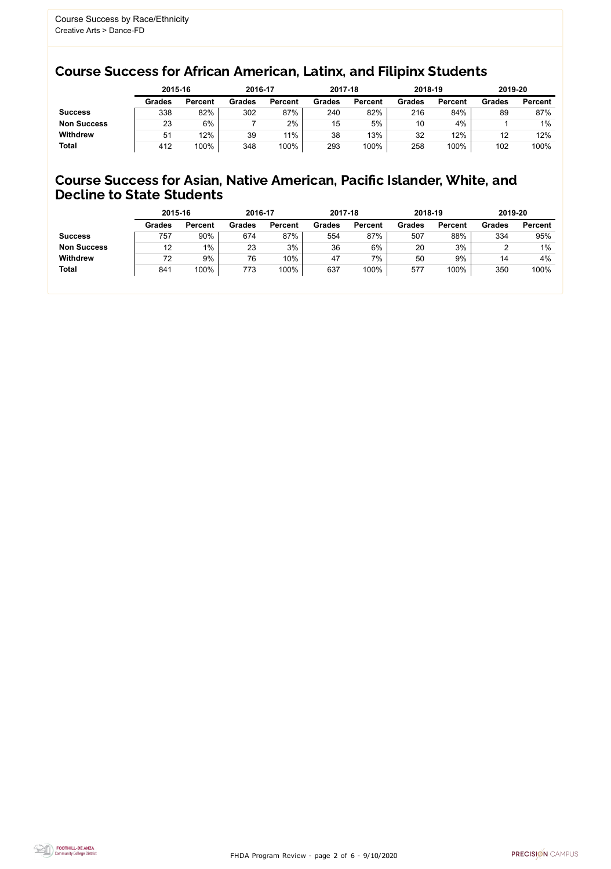FHDA Program Review - page 2 of 6 - 9/10/2020



## Course Success for African American, Latinx, and Filipinx Students

### Course Success for Asian, Native American, Pacific Islander, White, and Decline to State Students

|                    | 2015-16       |                | 2016-17       |                | 2017-18       |                | 2018-19       |                | 2019-20       |                |
|--------------------|---------------|----------------|---------------|----------------|---------------|----------------|---------------|----------------|---------------|----------------|
|                    | <b>Grades</b> | <b>Percent</b> | <b>Grades</b> | <b>Percent</b> | <b>Grades</b> | <b>Percent</b> | <b>Grades</b> | <b>Percent</b> | <b>Grades</b> | <b>Percent</b> |
| <b>Success</b>     | 338           | 82%            | 302           | 87%            | 240           | 82%            | 216           | 84%            | 89            | 87%            |
| <b>Non Success</b> | 23            | 6%             |               | 2%             | 15            | 5%             | 10            | 4%             |               | $1\%$          |
| <b>Withdrew</b>    | 51            | 12%            | 39            | 11%            | 38            | 13%            | 32            | 12%            | 12            | 12%            |
| <b>Total</b>       | 412           | 100%           | 348           | 100%           | 293           | 100%           | 258           | 100%           | 102           | 100%           |

|                    | 2015-16       |                | 2016-17       |                | 2017-18       |                | 2018-19       |                | 2019-20       |                |
|--------------------|---------------|----------------|---------------|----------------|---------------|----------------|---------------|----------------|---------------|----------------|
|                    | <b>Grades</b> | <b>Percent</b> | <b>Grades</b> | <b>Percent</b> | <b>Grades</b> | <b>Percent</b> | <b>Grades</b> | <b>Percent</b> | <b>Grades</b> | <b>Percent</b> |
| <b>Success</b>     | 757           | 90%            | 674           | 87%            | 554           | 87%            | 507           | 88%            | 334           | 95%            |
| <b>Non Success</b> | 12            | $1\%$          | 23            | 3%             | 36            | 6%             | 20            | 3%             |               | $1\%$          |
| <b>Withdrew</b>    | 72            | 9%             | 76            | 10%            | 47            | 7%             | 50            | 9%             | 14            | 4%             |
| <b>Total</b>       | 841           | 100%           | 773           | 100%           | 637           | 100%           | 577           | 100%           | 350           | 100%           |
|                    |               |                |               |                |               |                |               |                |               |                |

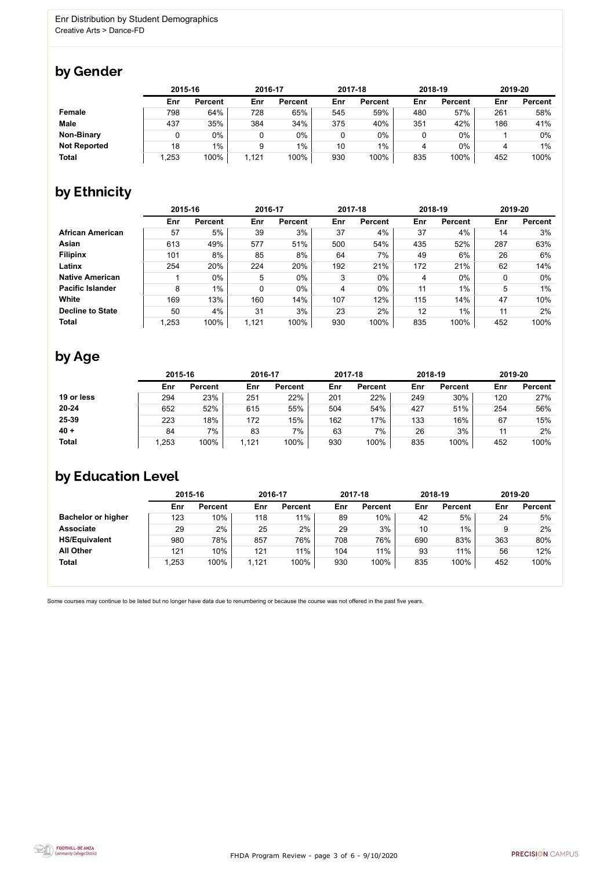FHDA Program Review - page 3 of 6 - 9/10/2020



Some courses may continue to be listed but no longer have data due to renumbering or because the course was not offered in the past five years.



## by Gender

|                     | 2015-16 |                |      | 2016-17        |     | 2017-18        |     | 2018-19        | 2019-20 |                |
|---------------------|---------|----------------|------|----------------|-----|----------------|-----|----------------|---------|----------------|
|                     | Enr     | <b>Percent</b> | Enr  | <b>Percent</b> | Enr | <b>Percent</b> | Enr | <b>Percent</b> | Enr     | <b>Percent</b> |
| Female              | 798     | 64%            | 728  | 65%            | 545 | 59%            | 480 | 57%            | 261     | 58%            |
| <b>Male</b>         | 437     | 35%            | 384  | 34%            | 375 | 40%            | 351 | 42%            | 186     | 41%            |
| <b>Non-Binary</b>   |         | $0\%$          |      | $0\%$          |     | $0\%$          |     | 0%             |         | 0%             |
| <b>Not Reported</b> | 18      | $1\%$          | 9    | $1\%$          | 10  | $1\%$          | 4   | 0%             | 4       | 1%             |
| <b>Total</b>        | 1,253   | 100%           | ,121 | 100%           | 930 | 100%           | 835 | 100%           | 452     | 100%           |

## by Ethnicity

|                         |       | 2015-16        |       | 2016-17        |     | 2017-18        |     | 2018-19        | 2019-20 |                |
|-------------------------|-------|----------------|-------|----------------|-----|----------------|-----|----------------|---------|----------------|
|                         | Enr   | <b>Percent</b> | Enr   | <b>Percent</b> | Enr | <b>Percent</b> | Enr | <b>Percent</b> | Enr     | <b>Percent</b> |
| <b>African American</b> | 57    | 5%             | 39    | 3%             | 37  | 4%             | 37  | 4%             | 14      | 3%             |
| Asian                   | 613   | 49%            | 577   | 51%            | 500 | 54%            | 435 | 52%            | 287     | 63%            |
| <b>Filipinx</b>         | 101   | 8%             | 85    | 8%             | 64  | 7%             | 49  | 6%             | 26      | 6%             |
| Latinx                  | 254   | 20%            | 224   | 20%            | 192 | 21%            | 172 | 21%            | 62      | 14%            |
| <b>Native American</b>  |       | $0\%$          | 5     | $0\%$          | 3   | 0%             | 4   | $0\%$          | 0       | $0\%$          |
| <b>Pacific Islander</b> | 8     | $1\%$          | 0     | $0\%$          | 4   | $0\%$          | 11  | $1\%$          | 5       | $1\%$          |
| White                   | 169   | 13%            | 160   | 14%            | 107 | 12%            | 115 | 14%            | 47      | 10%            |
| <b>Decline to State</b> | 50    | 4%             | 31    | 3%             | 23  | 2%             | 12  | $1\%$          | 11      | 2%             |
| <b>Total</b>            | 1,253 | 100%           | 1,121 | 100%           | 930 | 100%           | 835 | 100%           | 452     | 100%           |

## by Age

|              |       | 2015-16        |       | 2016-17        |     | 2017-18        |     | 2018-19        | 2019-20 |                |
|--------------|-------|----------------|-------|----------------|-----|----------------|-----|----------------|---------|----------------|
|              | Enr   | <b>Percent</b> | Enr   | <b>Percent</b> | Enr | <b>Percent</b> | Enr | <b>Percent</b> | Enr     | <b>Percent</b> |
| 19 or less   | 294   | 23%            | 251   | 22%            | 201 | 22%            | 249 | 30%            | 120     | 27%            |
| $20 - 24$    | 652   | 52%            | 615   | 55%            | 504 | 54%            | 427 | 51%            | 254     | 56%            |
| 25-39        | 223   | 18%            | 172   | 15%            | 162 | 17%            | 133 | 16%            | 67      | 15%            |
| $40 +$       | 84    | 7%             | 83    | 7%             | 63  | 7%             | 26  | 3%             |         | 2%             |
| <b>Total</b> | 1,253 | 100%           | 1,121 | 100%           | 930 | 100%           | 835 | 100%           | 452     | 100%           |

## by Education Level

|                           | 2015-16 |                | 2016-17 |                |     | 2017-18        |     | 2018-19        | 2019-20 |                |
|---------------------------|---------|----------------|---------|----------------|-----|----------------|-----|----------------|---------|----------------|
|                           | Enr     | <b>Percent</b> | Enr     | <b>Percent</b> | Enr | <b>Percent</b> | Enr | <b>Percent</b> | Enr     | <b>Percent</b> |
| <b>Bachelor or higher</b> | 123     | 10%            | 118     | 11%            | 89  | 10%            | 42  | 5%             | 24      | 5%             |
| <b>Associate</b>          | 29      | 2%             | 25      | 2%             | 29  | 3%             | 10  | 1%             | 9       | 2%             |
| <b>HS/Equivalent</b>      | 980     | 78%            | 857     | 76%            | 708 | 76%            | 690 | 83%            | 363     | 80%            |
| <b>All Other</b>          | 121     | 10%            | 121     | 11%            | 104 | 11%            | 93  | 11%            | 56      | 12%            |
| <b>Total</b>              | ,253    | 100%           | 1,121   | 100%           | 930 | 100%           | 835 | 100%           | 452     | 100%           |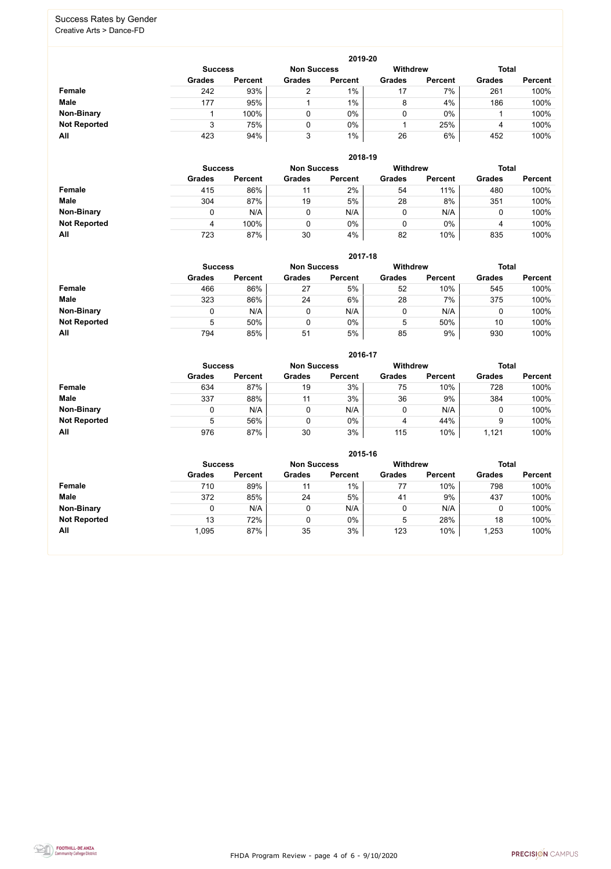FHDA Program Review - page 4 of 6 - 9/10/2020



#### Success Rates by Gender Creative Arts > Dance-FD

|                     | 2019-20        |                |                    |                |                 |                |               |                |  |  |  |  |
|---------------------|----------------|----------------|--------------------|----------------|-----------------|----------------|---------------|----------------|--|--|--|--|
|                     | <b>Success</b> |                | <b>Non Success</b> |                | <b>Withdrew</b> |                | <b>Total</b>  |                |  |  |  |  |
|                     | <b>Grades</b>  | <b>Percent</b> | <b>Grades</b>      | <b>Percent</b> | <b>Grades</b>   | <b>Percent</b> | <b>Grades</b> | <b>Percent</b> |  |  |  |  |
| Female              | 242            | 93%            | ⌒                  | $1\%$          | 17              | 7%             | 261           | 100%           |  |  |  |  |
| <b>Male</b>         | 177            | 95%            |                    | $1\%$          | 8               | 4%             | 186           | 100%           |  |  |  |  |
| <b>Non-Binary</b>   |                | 100%           | 0                  | 0%             |                 | $0\%$          |               | 100%           |  |  |  |  |
| <b>Not Reported</b> |                | 75%            | $\mathbf{0}$       | 0%             |                 | 25%            | 4             | 100%           |  |  |  |  |
| All                 | 423            | 94%            | 3                  | $1\%$          | 26              | 6%             | 452           | 100%           |  |  |  |  |

|                     |               | 2018-19        |               |                |                 |                |               |                |  |  |  |  |  |  |
|---------------------|---------------|----------------|---------------|----------------|-----------------|----------------|---------------|----------------|--|--|--|--|--|--|
|                     |               | <b>Success</b> |               |                | <b>Withdrew</b> |                | <b>Total</b>  |                |  |  |  |  |  |  |
|                     | <b>Grades</b> | <b>Percent</b> | <b>Grades</b> | <b>Percent</b> | <b>Grades</b>   | <b>Percent</b> | <b>Grades</b> | <b>Percent</b> |  |  |  |  |  |  |
| <b>Female</b>       | 415           | 86%            | 11            | 2%             | 54              | 11%            | 480           | 100%           |  |  |  |  |  |  |
| <b>Male</b>         | 304           | 87%            | 19            | 5%             | 28              | 8%             | 351           | 100%           |  |  |  |  |  |  |
| <b>Non-Binary</b>   |               | N/A            | 0             | N/A            | 0               | N/A            |               | 100%           |  |  |  |  |  |  |
| <b>Not Reported</b> | 4             | 100%           | 0             | 0%             | 0               | $0\%$          | 4             | 100%           |  |  |  |  |  |  |
| All                 | 723           | 87%            | 30            | 4%             | 82              | 10%            | 835           | 100%           |  |  |  |  |  |  |

|                     |                | 2017-18        |                    |                |                 |                |               |                |  |  |  |  |  |
|---------------------|----------------|----------------|--------------------|----------------|-----------------|----------------|---------------|----------------|--|--|--|--|--|
|                     | <b>Success</b> |                | <b>Non Success</b> |                | <b>Withdrew</b> | <b>Total</b>   |               |                |  |  |  |  |  |
|                     | <b>Grades</b>  | <b>Percent</b> | <b>Grades</b>      | <b>Percent</b> | <b>Grades</b>   | <b>Percent</b> | <b>Grades</b> | <b>Percent</b> |  |  |  |  |  |
| Female              | 466            | 86%            | 27                 | 5%             | 52              | 10%            | 545           | 100%           |  |  |  |  |  |
| <b>Male</b>         | 323            | 86%            | 24                 | 6%             | 28              | 7%             | 375           | 100%           |  |  |  |  |  |
| <b>Non-Binary</b>   | 0              | N/A            |                    | N/A            | 0               | N/A            | U             | 100%           |  |  |  |  |  |
| <b>Not Reported</b> | 5              | 50%            |                    | $0\%$          | 5               | 50%            | 10            | 100%           |  |  |  |  |  |
| All                 | 794            | 85%            | 51                 | 5%             | 85              | 9%             | 930           | 100%           |  |  |  |  |  |

|                     |               | 2016-17                              |               |                |                 |                |               |                |  |
|---------------------|---------------|--------------------------------------|---------------|----------------|-----------------|----------------|---------------|----------------|--|
|                     |               | <b>Non Success</b><br><b>Success</b> |               |                | <b>Withdrew</b> |                | <b>Total</b>  |                |  |
|                     | <b>Grades</b> | <b>Percent</b>                       | <b>Grades</b> | <b>Percent</b> | <b>Grades</b>   | <b>Percent</b> | <b>Grades</b> | <b>Percent</b> |  |
| <b>Female</b>       | 634           | 87%                                  | 19            | 3%             | 75              | 10%            | 728           | 100%           |  |
| <b>Male</b>         | 337           | 88%                                  | 11            | 3%             | 36              | 9%             | 384           | 100%           |  |
| <b>Non-Binary</b>   | 0             | N/A                                  |               | N/A            | 0               | N/A            | 0             | 100%           |  |
| <b>Not Reported</b> | 5             | 56%                                  |               | $0\%$          | 4               | 44%            | 9             | 100%           |  |
| All                 | 976           | 87%                                  | 30            | 3%             | 115             | 10%            | 1,121         | 100%           |  |

|                     | 2015-16       |                                      |               |                |               |                 |               |                |
|---------------------|---------------|--------------------------------------|---------------|----------------|---------------|-----------------|---------------|----------------|
|                     |               | <b>Non Success</b><br><b>Success</b> |               |                |               | <b>Withdrew</b> | <b>Total</b>  |                |
|                     | <b>Grades</b> | <b>Percent</b>                       | <b>Grades</b> | <b>Percent</b> | <b>Grades</b> | <b>Percent</b>  | <b>Grades</b> | <b>Percent</b> |
| <b>Female</b>       | 710           | 89%                                  | 11            | $1\%$          | 77            | 10%             | 798           | 100%           |
| <b>Male</b>         | 372           | 85%                                  | 24            | 5%             | 41            | 9%              | 437           | 100%           |
| <b>Non-Binary</b>   |               | N/A                                  | 0             | N/A            |               | N/A             |               | 100%           |
| <b>Not Reported</b> | 13            | 72%                                  | 0             | $0\%$          | 5             | 28%             | 18            | 100%           |
| All                 | 1,095         | 87%                                  | 35            | 3%             | 123           | 10%             | 1,253         | 100%           |

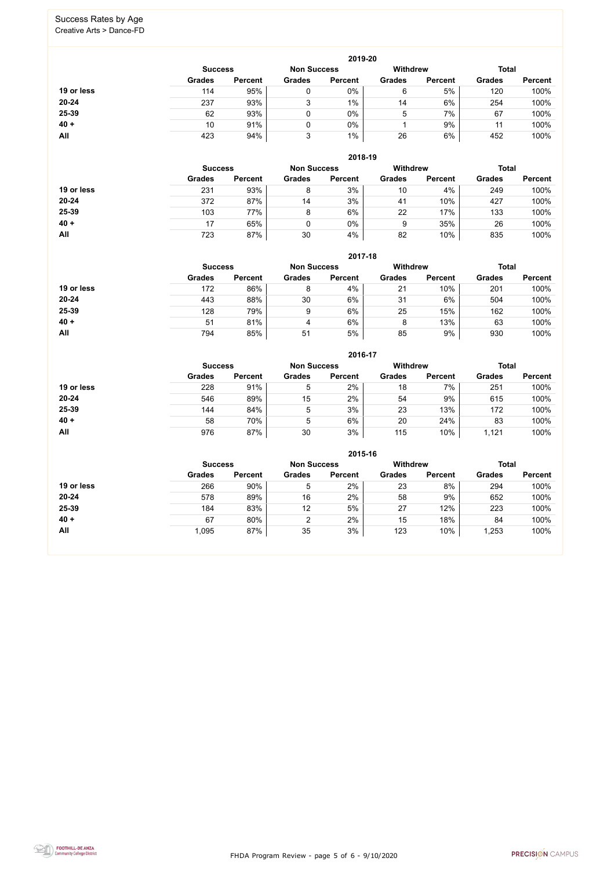FHDA Program Review - page 5 of 6 - 9/10/2020



#### Success Rates by Age Creative Arts > Dance-FD

|            | 2019-20        |                    |               |                 |               |                |               |                |  |
|------------|----------------|--------------------|---------------|-----------------|---------------|----------------|---------------|----------------|--|
|            | <b>Success</b> | <b>Non Success</b> |               | <b>Withdrew</b> |               | <b>Total</b>   |               |                |  |
|            | <b>Grades</b>  | <b>Percent</b>     | <b>Grades</b> | <b>Percent</b>  | <b>Grades</b> | <b>Percent</b> | <b>Grades</b> | <b>Percent</b> |  |
| 19 or less | 114            | 95%                | 0             | $0\%$           | 6             | 5%             | 120           | 100%           |  |
| $20 - 24$  | 237            | 93%                | 3             | 1%              | 14            | 6%             | 254           | 100%           |  |
| 25-39      | 62             | 93%                |               | $0\%$           | 5             | 7%             | 67            | 100%           |  |
| $40 +$     | 10             | 91%                |               | $0\%$           |               | 9%             |               | 100%           |  |
| All        | 423            | 94%                | 3             | $1\%$           | 26            | 6%             | 452           | 100%           |  |

|            | 2018-19        |                    |               |                 |               |                |               |                |
|------------|----------------|--------------------|---------------|-----------------|---------------|----------------|---------------|----------------|
|            | <b>Success</b> | <b>Non Success</b> |               | <b>Withdrew</b> |               | <b>Total</b>   |               |                |
|            | <b>Grades</b>  | <b>Percent</b>     | <b>Grades</b> | <b>Percent</b>  | <b>Grades</b> | <b>Percent</b> | <b>Grades</b> | <b>Percent</b> |
| 19 or less | 231            | 93%                | 8             | 3%              | 10            | 4%             | 249           | 100%           |
| $20 - 24$  | 372            | 87%                | 14            | 3%              | 41            | 10%            | 427           | 100%           |
| 25-39      | 103            | 77%                | 8             | 6%              | 22            | 17%            | 133           | 100%           |
| $40 +$     | 17             | 65%                |               | 0%              | 9             | 35%            | 26            | 100%           |
| All        | 723            | 87%                | 30            | 4%              | 82            | 10%            | 835           | 100%           |

#### **2017-18**



|            |                |                    |               | 2017-18         |               |                |               |                |
|------------|----------------|--------------------|---------------|-----------------|---------------|----------------|---------------|----------------|
|            | <b>Success</b> | <b>Non Success</b> |               | <b>Withdrew</b> |               | <b>Total</b>   |               |                |
|            | <b>Grades</b>  | <b>Percent</b>     | <b>Grades</b> | <b>Percent</b>  | <b>Grades</b> | <b>Percent</b> | <b>Grades</b> | <b>Percent</b> |
| 19 or less | 172            | 86%                | 8             | 4%              | 21            | 10%            | 201           | 100%           |
| $20 - 24$  | 443            | 88%                | 30            | 6%              | 31            | 6%             | 504           | 100%           |
| 25-39      | 128            | 79%                | 9             | 6%              | 25            | 15%            | 162           | 100%           |
| $40 +$     | 51             | 81%                | 4             | 6%              | 8             | 13%            | 63            | 100%           |
| All        | 794            | 85%                | 51            | 5%              | 85            | 9%             | 930           | 100%           |

|            | 2016-17                              |                |               |                |                 |                |               |                |  |
|------------|--------------------------------------|----------------|---------------|----------------|-----------------|----------------|---------------|----------------|--|
|            | <b>Non Success</b><br><b>Success</b> |                |               |                | <b>Withdrew</b> |                | <b>Total</b>  |                |  |
|            | <b>Grades</b>                        | <b>Percent</b> | <b>Grades</b> | <b>Percent</b> | <b>Grades</b>   | <b>Percent</b> | <b>Grades</b> | <b>Percent</b> |  |
| 19 or less | 228                                  | 91%            | 5             | 2%             | 18              | 7%             | 251           | 100%           |  |
| 20-24      | 546                                  | 89%            | 15            | 2%             | 54              | 9%             | 615           | 100%           |  |
| 25-39      | 144                                  | 84%            | 5             | 3%             | 23              | 13%            | 172           | 100%           |  |
| $40 +$     | 58                                   | 70%            | 5             | 6%             | 20              | 24%            | 83            | 100%           |  |
| <b>All</b> | 976                                  | 87%            | 30            | 3%             | 115             | 10%            | 1,121         | 100%           |  |

|            | 2015-16                              |                |               |                |                 |                |               |                |  |
|------------|--------------------------------------|----------------|---------------|----------------|-----------------|----------------|---------------|----------------|--|
|            | <b>Non Success</b><br><b>Success</b> |                |               |                | <b>Withdrew</b> |                | <b>Total</b>  |                |  |
|            | <b>Grades</b>                        | <b>Percent</b> | <b>Grades</b> | <b>Percent</b> | <b>Grades</b>   | <b>Percent</b> | <b>Grades</b> | <b>Percent</b> |  |
| 19 or less | 266                                  | 90%            | 5             | 2%             | 23              | 8%             | 294           | 100%           |  |
| $20 - 24$  | 578                                  | 89%            | 16            | 2%             | 58              | 9%             | 652           | 100%           |  |
| 25-39      | 184                                  | 83%            | 12            | 5%             | 27              | 12%            | 223           | 100%           |  |
| $40 +$     | 67                                   | 80%            | っ             | 2%             | 15              | 18%            | 84            | 100%           |  |
| All        | 1,095                                | 87%            | 35            | 3%             | 123             | 10%            | 1,253         | 100%           |  |